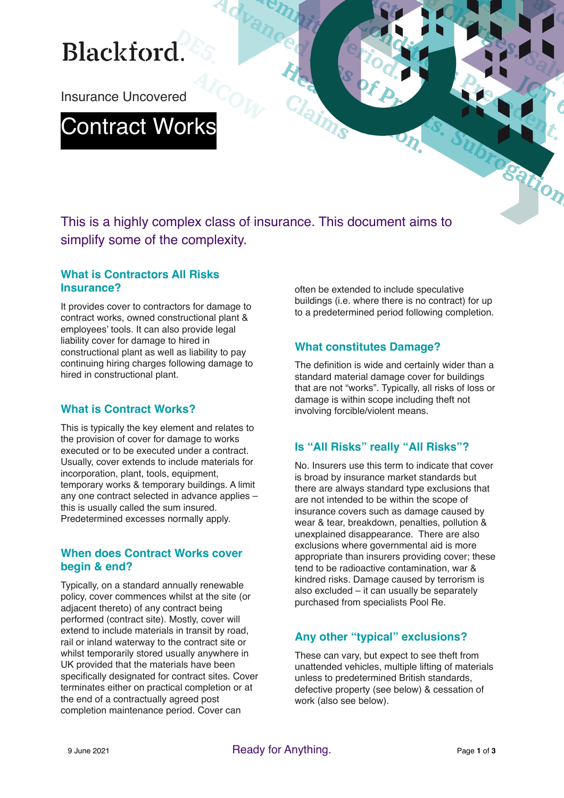# **Blackford**

Insurance Uncovered

## Contract Works

This is a highly complex class of insurance. This document aims to simplify some of the complexity.

Advand

#### **What is Contractors All Risks Insurance?**

It provides cover to contractors for damage to contract works, owned constructional plant & employees' tools. It can also provide legal liability cover for damage to hired in constructional plant as well as liability to pay continuing hiring charges following damage to hired in constructional plant.

### **What is Contract Works?**

This is typically the key element and relates to the provision of cover for damage to works executed or to be executed under a contract. Usually, cover extends to include materials for incorporation, plant, tools, equipment, temporary works & temporary buildings. A limit any one contract selected in advance applies – this is usually called the sum insured. Predetermined excesses normally apply.

#### **When does Contract Works cover begin & end?**

Typically, on a standard annually renewable policy, cover commences whilst at the site (or adjacent thereto) of any contract being performed (contract site). Mostly, cover will extend to include materials in transit by road, rail or inland waterway to the contract site or whilst temporarily stored usually anywhere in UK provided that the materials have been specifically designated for contract sites. Cover terminates either on practical completion or at the end of a contractually agreed post completion maintenance period. Cover can

often be extended to include speculative buildings (i.e. where there is no contract) for up to a predetermined period following completion.

### **What constitutes Damage?**

The definition is wide and certainly wider than a standard material damage cover for buildings that are not "works". Typically, all risks of loss or damage is within scope including theft not involving forcible/violent means.

### **Is "All Risks" really "All Risks"?**

No. Insurers use this term to indicate that cover is broad by insurance market standards but there are always standard type exclusions that are not intended to be within the scope of insurance covers such as damage caused by wear & tear, breakdown, penalties, pollution & unexplained disappearance. There are also exclusions where governmental aid is more appropriate than insurers providing cover; these tend to be radioactive contamination, war & kindred risks. Damage caused by terrorism is also excluded – it can usually be separately purchased from specialists Pool Re.

## **Any other "typical" exclusions?**

These can vary, but expect to see theft from unattended vehicles, multiple lifting of materials unless to predetermined British standards, defective property (see below) & cessation of work (also see below).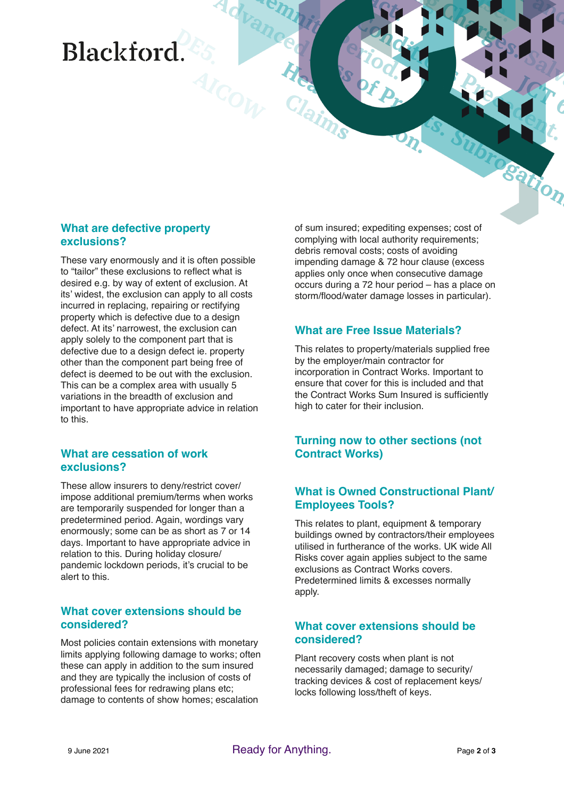## Blackford

#### **What are defective property exclusions?**

These vary enormously and it is often possible to "tailor" these exclusions to reflect what is desired e.g. by way of extent of exclusion. At its' widest, the exclusion can apply to all costs incurred in replacing, repairing or rectifying property which is defective due to a design defect. At its' narrowest, the exclusion can apply solely to the component part that is defective due to a design defect ie. property other than the component part being free of defect is deemed to be out with the exclusion. This can be a complex area with usually 5 variations in the breadth of exclusion and important to have appropriate advice in relation to this.

#### **What are cessation of work exclusions?**

These allow insurers to deny/restrict cover/ impose additional premium/terms when works are temporarily suspended for longer than a predetermined period. Again, wordings vary enormously; some can be as short as 7 or 14 days. Important to have appropriate advice in relation to this. During holiday closure/ pandemic lockdown periods, it's crucial to be alert to this.

#### **What cover extensions should be considered?**

Most policies contain extensions with monetary limits applying following damage to works; often these can apply in addition to the sum insured and they are typically the inclusion of costs of professional fees for redrawing plans etc; damage to contents of show homes; escalation

of sum insured; expediting expenses; cost of complying with local authority requirements; debris removal costs; costs of avoiding impending damage & 72 hour clause (excess applies only once when consecutive damage occurs during a 72 hour period – has a place on storm/flood/water damage losses in particular).

#### **What are Free Issue Materials?**

This relates to property/materials supplied free by the employer/main contractor for incorporation in Contract Works. Important to ensure that cover for this is included and that the Contract Works Sum Insured is sufficiently high to cater for their inclusion.

#### **Turning now to other sections (not Contract Works)**

#### **What is Owned Constructional Plant/ Employees Tools?**

This relates to plant, equipment & temporary buildings owned by contractors/their employees utilised in furtherance of the works. UK wide All Risks cover again applies subject to the same exclusions as Contract Works covers. Predetermined limits & excesses normally apply.

#### **What cover extensions should be considered?**

Plant recovery costs when plant is not necessarily damaged; damage to security/ tracking devices & cost of replacement keys/ locks following loss/theft of keys.